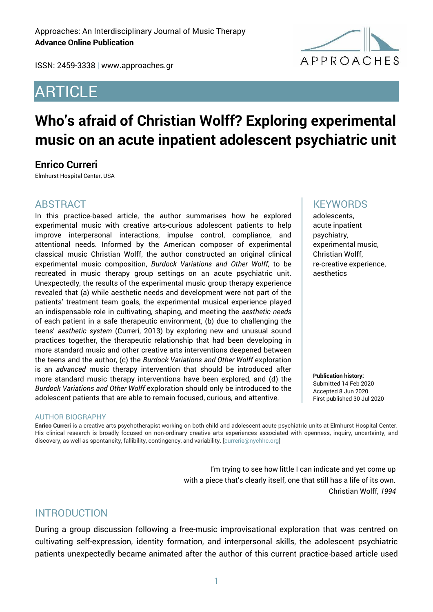ISSN: 2459-3338 | www.approaches.gr

## ARTICLE



# **Who's afraid of Christian Wolff? Exploring experimental music on an acute inpatient adolescent psychiatric unit**

## **Enrico Curreri**

Elmhurst Hospital Center, USA

#### ABSTRACT

In this practice-based article, the author summarises how he explored experimental music with creative arts-curious adolescent patients to help improve interpersonal interactions, impulse control, compliance, and attentional needs. Informed by the American composer of experimental classical music Christian Wolff, the author constructed an original clinical experimental music composition, *Burdock Variations and Other Wolff*, to be recreated in music therapy group settings on an acute psychiatric unit. Unexpectedly, the results of the experimental music group therapy experience revealed that (a) while aesthetic needs and development were not part of the patients' treatment team goals, the experimental musical experience played an indispensable role in cultivating, shaping, and meeting the *aesthetic needs* of each patient in a safe therapeutic environment, (b) due to challenging the teens' *aesthetic system* (Curreri, 2013) by exploring new and unusual sound practices together, the therapeutic relationship that had been developing in more standard music and other creative arts interventions deepened between the teens and the author, (c) the *Burdock Variations and Other Wolff* exploration is an *advanced* music therapy intervention that should be introduced after more standard music therapy interventions have been explored, and (d) the *Burdock Variations and Other Wolff* exploration should only be introduced to the adolescent patients that are able to remain focused, curious, and attentive.

#### AUTHOR BIOGRAPHY

**Enrico Curreri** is a creative arts psychotherapist working on both child and adolescent acute psychiatric units at Elmhurst Hospital Center. His clinical research is broadly focused on non-ordinary creative arts experiences associated with openness, inquiry, uncertainty, and discovery, as well as spontaneity, fallibility, contingency, and variability. [currerie@nychhc.org]

> I'm trying to see how little I can indicate and yet come up with a piece that's clearly itself, one that still has a life of its own. Christian Wolff*, 1994*

## INTRODUCTION

During a group discussion following a free-music improvisational exploration that was centred on cultivating self-expression, identity formation, and interpersonal skills, the adolescent psychiatric patients unexpectedly became animated after the author of this current practice-based article used

#### **KEYWORDS**

adolescents, acute inpatient psychiatry, experimental music, Christian Wolff, re-creative experience, aesthetics

**Publication history:**  Submitted 14 Feb 2020 Accepted 8 Jun 2020 First published 30 Jul 2020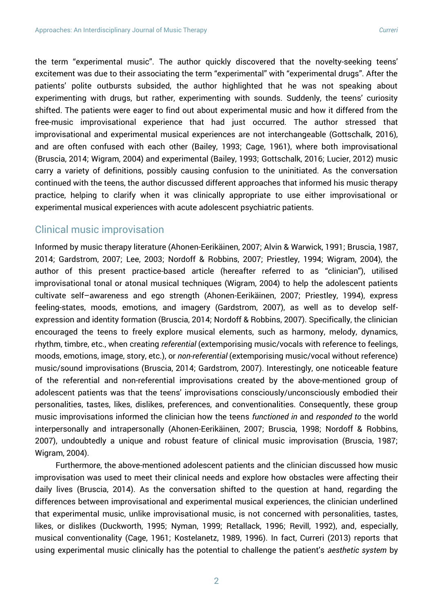the term "experimental music". The author quickly discovered that the novelty-seeking teens' excitement was due to their associating the term "experimental" with "experimental drugs". After the patients' polite outbursts subsided, the author highlighted that he was not speaking about experimenting with drugs, but rather, experimenting with sounds. Suddenly, the teens' curiosity shifted. The patients were eager to find out about experimental music and how it differed from the free-music improvisational experience that had just occurred. The author stressed that improvisational and experimental musical experiences are not interchangeable (Gottschalk, 2016), and are often confused with each other (Bailey, 1993; Cage, 1961), where both improvisational (Bruscia, 2014; Wigram, 2004) and experimental (Bailey, 1993; Gottschalk, 2016; Lucier, 2012) music carry a variety of definitions, possibly causing confusion to the uninitiated. As the conversation continued with the teens, the author discussed different approaches that informed his music therapy practice, helping to clarify when it was clinically appropriate to use either improvisational or experimental musical experiences with acute adolescent psychiatric patients.

## Clinical music improvisation

Informed by music therapy literature (Ahonen-Eerikäinen, 2007; Alvin & Warwick, 1991; Bruscia, 1987, 2014; Gardstrom, 2007; Lee, 2003; Nordoff & Robbins, 2007; Priestley, 1994; Wigram, 2004), the author of this present practice-based article (hereafter referred to as "clinician"), utilised improvisational tonal or atonal musical techniques (Wigram, 2004) to help the adolescent patients cultivate self–awareness and ego strength (Ahonen-Eerikäinen, 2007; Priestley, 1994), express feeling-states, moods, emotions, and imagery (Gardstrom, 2007), as well as to develop selfexpression and identity formation (Bruscia, 2014; Nordoff & Robbins, 2007). Specifically, the clinician encouraged the teens to freely explore musical elements, such as harmony, melody, dynamics, rhythm, timbre, etc., when creating *referential* (extemporising music/vocals with reference to feelings, moods, emotions, image, story, etc.), or *non-referential* (extemporising music/vocal without reference) music/sound improvisations (Bruscia, 2014; Gardstrom, 2007). Interestingly, one noticeable feature of the referential and non-referential improvisations created by the above-mentioned group of adolescent patients was that the teens' improvisations consciously/unconsciously embodied their personalities, tastes, likes, dislikes, preferences, and conventionalities. Consequently, these group music improvisations informed the clinician how the teens *functioned in* and *responded to* the world interpersonally and intrapersonally (Ahonen-Eerikäinen, 2007; Bruscia, 1998; Nordoff & Robbins, 2007), undoubtedly a unique and robust feature of clinical music improvisation (Bruscia, 1987; Wigram, 2004).

Furthermore, the above-mentioned adolescent patients and the clinician discussed how music improvisation was used to meet their clinical needs and explore how obstacles were affecting their daily lives (Bruscia, 2014). As the conversation shifted to the question at hand, regarding the differences between improvisational and experimental musical experiences, the clinician underlined that experimental music, unlike improvisational music, is not concerned with personalities, tastes, likes, or dislikes (Duckworth, 1995; Nyman, 1999; Retallack, 1996; Revill, 1992), and, especially, musical conventionality (Cage, 1961; Kostelanetz, 1989, 1996). In fact, Curreri (2013) reports that using experimental music clinically has the potential to challenge the patient's *aesthetic system* by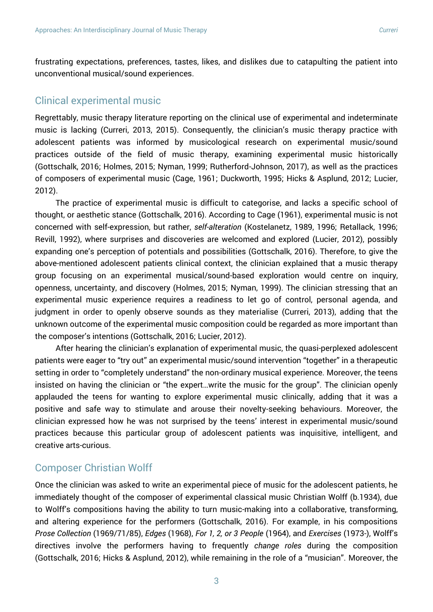frustrating expectations, preferences, tastes, likes, and dislikes due to catapulting the patient into unconventional musical/sound experiences.

## Clinical experimental music

Regrettably, music therapy literature reporting on the clinical use of experimental and indeterminate music is lacking (Curreri, 2013, 2015). Consequently, the clinician's music therapy practice with adolescent patients was informed by musicological research on experimental music/sound practices outside of the field of music therapy, examining experimental music historically (Gottschalk, 2016; Holmes, 2015; Nyman, 1999; Rutherford-Johnson, 2017), as well as the practices of composers of experimental music (Cage, 1961; Duckworth, 1995; Hicks & Asplund, 2012; Lucier, 2012).

The practice of experimental music is difficult to categorise, and lacks a specific school of thought, or aesthetic stance (Gottschalk, 2016). According to Cage (1961), experimental music is not concerned with self-expression, but rather, *self-alteration* (Kostelanetz, 1989, 1996; Retallack, 1996; Revill, 1992), where surprises and discoveries are welcomed and explored (Lucier, 2012), possibly expanding one's perception of potentials and possibilities (Gottschalk, 2016). Therefore, to give the above-mentioned adolescent patients clinical context, the clinician explained that a music therapy group focusing on an experimental musical/sound-based exploration would centre on inquiry, openness, uncertainty, and discovery (Holmes, 2015; Nyman, 1999). The clinician stressing that an experimental music experience requires a readiness to let go of control, personal agenda, and judgment in order to openly observe sounds as they materialise (Curreri, 2013), adding that the unknown outcome of the experimental music composition could be regarded as more important than the composer's intentions (Gottschalk, 2016; Lucier, 2012).

After hearing the clinician's explanation of experimental music, the quasi-perplexed adolescent patients were eager to "try out" an experimental music/sound intervention "together" in a therapeutic setting in order to "completely understand" the non-ordinary musical experience. Moreover, the teens insisted on having the clinician or "the expert…write the music for the group". The clinician openly applauded the teens for wanting to explore experimental music clinically, adding that it was a positive and safe way to stimulate and arouse their novelty-seeking behaviours. Moreover, the clinician expressed how he was not surprised by the teens' interest in experimental music/sound practices because this particular group of adolescent patients was inquisitive, intelligent, and creative arts-curious.

## Composer Christian Wolff

Once the clinician was asked to write an experimental piece of music for the adolescent patients, he immediately thought of the composer of experimental classical music Christian Wolff (b.1934), due to Wolff's compositions having the ability to turn music-making into a collaborative, transforming, and altering experience for the performers (Gottschalk, 2016). For example, in his compositions *Prose Collection* (1969/71/85), *Edges* (1968), *For 1, 2, or 3 People* (1964), and *Exercises* (1973-), Wolff's directives involve the performers having to frequently *change roles* during the composition (Gottschalk, 2016; Hicks & Asplund, 2012), while remaining in the role of a "musician". Moreover, the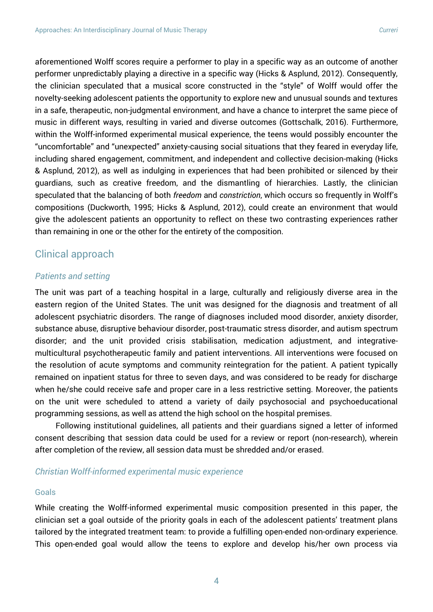aforementioned Wolff scores require a performer to play in a specific way as an outcome of another performer unpredictably playing a directive in a specific way (Hicks & Asplund, 2012). Consequently, the clinician speculated that a musical score constructed in the "style" of Wolff would offer the novelty-seeking adolescent patients the opportunity to explore new and unusual sounds and textures in a safe, therapeutic, non-judgmental environment, and have a chance to interpret the same piece of music in different ways, resulting in varied and diverse outcomes (Gottschalk, 2016). Furthermore, within the Wolff-informed experimental musical experience, the teens would possibly encounter the "uncomfortable" and "unexpected" anxiety-causing social situations that they feared in everyday life, including shared engagement, commitment, and independent and collective decision-making (Hicks & Asplund, 2012), as well as indulging in experiences that had been prohibited or silenced by their guardians, such as creative freedom, and the dismantling of hierarchies. Lastly, the clinician speculated that the balancing of both *freedom* and *constriction*, which occurs so frequently in Wolff's compositions (Duckworth, 1995; Hicks & Asplund, 2012), could create an environment that would give the adolescent patients an opportunity to reflect on these two contrasting experiences rather than remaining in one or the other for the entirety of the composition.

## Clinical approach

#### *Patients and setting*

The unit was part of a teaching hospital in a large, culturally and religiously diverse area in the eastern region of the United States. The unit was designed for the diagnosis and treatment of all adolescent psychiatric disorders. The range of diagnoses included mood disorder, anxiety disorder, substance abuse, disruptive behaviour disorder, post-traumatic stress disorder, and autism spectrum disorder; and the unit provided crisis stabilisation, medication adjustment, and integrativemulticultural psychotherapeutic family and patient interventions. All interventions were focused on the resolution of acute symptoms and community reintegration for the patient. A patient typically remained on inpatient status for three to seven days, and was considered to be ready for discharge when he/she could receive safe and proper care in a less restrictive setting. Moreover, the patients on the unit were scheduled to attend a variety of daily psychosocial and psychoeducational programming sessions, as well as attend the high school on the hospital premises.

Following institutional guidelines, all patients and their guardians signed a letter of informed consent describing that session data could be used for a review or report (non-research), wherein after completion of the review, all session data must be shredded and/or erased.

#### *Christian Wolff-informed experimental music experience*

#### Goals

While creating the Wolff-informed experimental music composition presented in this paper, the clinician set a goal outside of the priority goals in each of the adolescent patients' treatment plans tailored by the integrated treatment team: to provide a fulfilling open-ended non-ordinary experience. This open-ended goal would allow the teens to explore and develop his/her own process via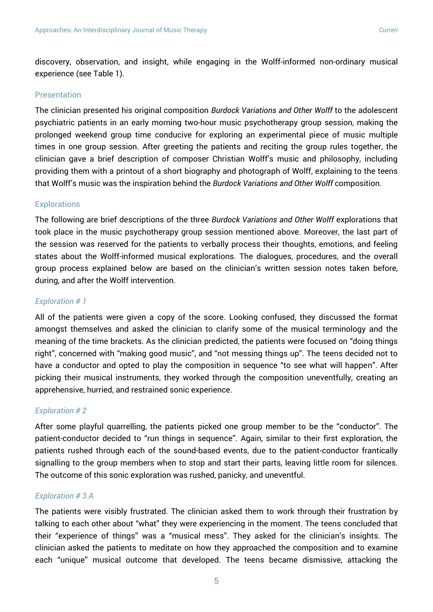discovery, observation, and insight, while engaging in the Wolff-informed non-ordinary musical experience (see Table 1).

#### Presentation

The clinician presented his original composition *Burdock Variations and Other Wolff* to the adolescent psychiatric patients in an early morning two-hour music psychotherapy group session, making the prolonged weekend group time conducive for exploring an experimental piece of music multiple times in one group session. After greeting the patients and reciting the group rules together, the clinician gave a brief description of composer Christian Wolff's music and philosophy, including providing them with a printout of a short biography and photograph of Wolff, explaining to the teens that Wolff's music was the inspiration behind the *Burdock Variations and Other Wolff* composition.

#### **Explorations**

The following are brief descriptions of the three *Burdock Variations and Other Wolff* explorations that took place in the music psychotherapy group session mentioned above. Moreover, the last part of the session was reserved for the patients to verbally process their thoughts, emotions, and feeling states about the Wolff-informed musical explorations. The dialogues, procedures, and the overall group process explained below are based on the clinician's written session notes taken before, during, and after the Wolff intervention.

#### *Exploration # 1*

All of the patients were given a copy of the score. Looking confused, they discussed the format amongst themselves and asked the clinician to clarify some of the musical terminology and the meaning of the time brackets. As the clinician predicted, the patients were focused on "doing things right", concerned with "making good music", and "not messing things up". The teens decided not to have a conductor and opted to play the composition in sequence "to see what will happen". After picking their musical instruments, they worked through the composition uneventfully, creating an apprehensive, hurried, and restrained sonic experience.

#### *Exploration # 2*

After some playful quarrelling, the patients picked one group member to be the "conductor". The patient-conductor decided to "run things in sequence". Again, similar to their first exploration, the patients rushed through each of the sound-based events, due to the patient-conductor frantically signalling to the group members when to stop and start their parts, leaving little room for silences. The outcome of this sonic exploration was rushed, panicky, and uneventful.

#### *Exploration # 3.A*

The patients were visibly frustrated. The clinician asked them to work through their frustration by talking to each other about "what" they were experiencing in the moment. The teens concluded that their "experience of things" was a "musical mess". They asked for the clinician's insights. The clinician asked the patients to meditate on how they approached the composition and to examine each "unique" musical outcome that developed. The teens became dismissive, attacking the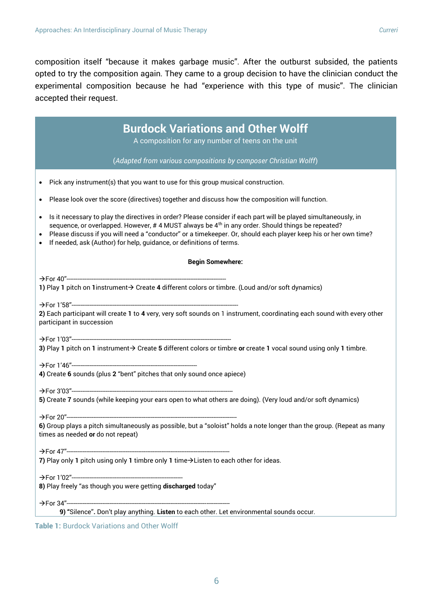composition itself "because it makes garbage music". After the outburst subsided, the patients opted to try the composition again. They came to a group decision to have the clinician conduct the experimental composition because he had "experience with this type of music". The clinician accepted their request.

| <b>Burdock Variations and Other Wolff</b>                                                                                                                                                                                                                                                                                                                                                                                                     |
|-----------------------------------------------------------------------------------------------------------------------------------------------------------------------------------------------------------------------------------------------------------------------------------------------------------------------------------------------------------------------------------------------------------------------------------------------|
| A composition for any number of teens on the unit                                                                                                                                                                                                                                                                                                                                                                                             |
| (Adapted from various compositions by composer Christian Wolff)                                                                                                                                                                                                                                                                                                                                                                               |
| Pick any instrument(s) that you want to use for this group musical construction.<br>$\bullet$                                                                                                                                                                                                                                                                                                                                                 |
| Please look over the score (directives) together and discuss how the composition will function.<br>٠                                                                                                                                                                                                                                                                                                                                          |
| Is it necessary to play the directives in order? Please consider if each part will be played simultaneously, in<br>$\bullet$<br>sequence, or overlapped. However, $#$ 4 MUST always be $4th$ in any order. Should things be repeated?<br>Please discuss if you will need a "conductor" or a timekeeper. Or, should each player keep his or her own time?<br>If needed, ask (Author) for help, guidance, or definitions of terms.<br>$\bullet$ |
| <b>Begin Somewhere:</b>                                                                                                                                                                                                                                                                                                                                                                                                                       |
|                                                                                                                                                                                                                                                                                                                                                                                                                                               |
| 1) Play 1 pitch on 1instrument > Create 4 different colors or timbre. (Loud and/or soft dynamics)                                                                                                                                                                                                                                                                                                                                             |
| 2) Each participant will create 1 to 4 very, very soft sounds on 1 instrument, coordinating each sound with every other<br>participant in succession                                                                                                                                                                                                                                                                                          |
| 3) Play 1 pitch on 1 instrument > Create 5 different colors or timbre or create 1 vocal sound using only 1 timbre.                                                                                                                                                                                                                                                                                                                            |
| 4) Create 6 sounds (plus 2 "bent" pitches that only sound once apiece)                                                                                                                                                                                                                                                                                                                                                                        |
|                                                                                                                                                                                                                                                                                                                                                                                                                                               |
| 5) Create 7 sounds (while keeping your ears open to what others are doing). (Very loud and/or soft dynamics)                                                                                                                                                                                                                                                                                                                                  |
|                                                                                                                                                                                                                                                                                                                                                                                                                                               |
| 6) Group plays a pitch simultaneously as possible, but a "soloist" holds a note longer than the group. (Repeat as many<br>times as needed <b>or</b> do not repeat)                                                                                                                                                                                                                                                                            |
| 7) Play only 1 pitch using only 1 timbre only 1 time > Listen to each other for ideas.                                                                                                                                                                                                                                                                                                                                                        |
|                                                                                                                                                                                                                                                                                                                                                                                                                                               |
| 8) Play freely "as though you were getting discharged today"                                                                                                                                                                                                                                                                                                                                                                                  |
|                                                                                                                                                                                                                                                                                                                                                                                                                                               |
| 9) "Silence". Don't play anything. Listen to each other. Let environmental sounds occur.                                                                                                                                                                                                                                                                                                                                                      |
| Table 1: Burdock Variations and Other Wolff                                                                                                                                                                                                                                                                                                                                                                                                   |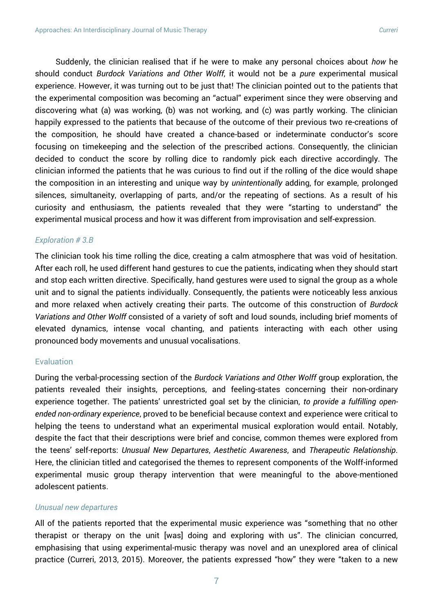Suddenly, the clinician realised that if he were to make any personal choices about *how* he should conduct *Burdock Variations and Other Wolff*, it would not be a *pure* experimental musical experience. However, it was turning out to be just that! The clinician pointed out to the patients that the experimental composition was becoming an "actual" experiment since they were observing and discovering what (a) was working, (b) was not working, and (c) was partly working. The clinician happily expressed to the patients that because of the outcome of their previous two re-creations of the composition, he should have created a chance-based or indeterminate conductor's score focusing on timekeeping and the selection of the prescribed actions. Consequently, the clinician decided to conduct the score by rolling dice to randomly pick each directive accordingly. The clinician informed the patients that he was curious to find out if the rolling of the dice would shape the composition in an interesting and unique way by *unintentionally* adding, for example, prolonged silences, simultaneity, overlapping of parts, and/or the repeating of sections. As a result of his curiosity and enthusiasm, the patients revealed that they were "starting to understand" the experimental musical process and how it was different from improvisation and self-expression.

#### *Exploration # 3.B*

The clinician took his time rolling the dice, creating a calm atmosphere that was void of hesitation. After each roll, he used different hand gestures to cue the patients, indicating when they should start and stop each written directive. Specifically, hand gestures were used to signal the group as a whole unit and to signal the patients individually. Consequently, the patients were noticeably less anxious and more relaxed when actively creating their parts. The outcome of this construction of *Burdock Variations and Other Wolff* consisted of a variety of soft and loud sounds, including brief moments of elevated dynamics, intense vocal chanting, and patients interacting with each other using pronounced body movements and unusual vocalisations.

#### **Evaluation**

During the verbal-processing section of the *Burdock Variations and Other Wolff* group exploration, the patients revealed their insights, perceptions, and feeling-states concerning their non-ordinary experience together. The patients' unrestricted goal set by the clinician, *to provide a fulfilling openended non-ordinary experience*, proved to be beneficial because context and experience were critical to helping the teens to understand what an experimental musical exploration would entail. Notably, despite the fact that their descriptions were brief and concise, common themes were explored from the teens' self-reports: *Unusual New Departures*, *Aesthetic Awareness*, and *Therapeutic Relationship*. Here, the clinician titled and categorised the themes to represent components of the Wolff-informed experimental music group therapy intervention that were meaningful to the above-mentioned adolescent patients.

#### *Unusual new departures*

All of the patients reported that the experimental music experience was "something that no other therapist or therapy on the unit [was] doing and exploring with us". The clinician concurred, emphasising that using experimental-music therapy was novel and an unexplored area of clinical practice (Curreri, 2013, 2015). Moreover, the patients expressed "how" they were "taken to a new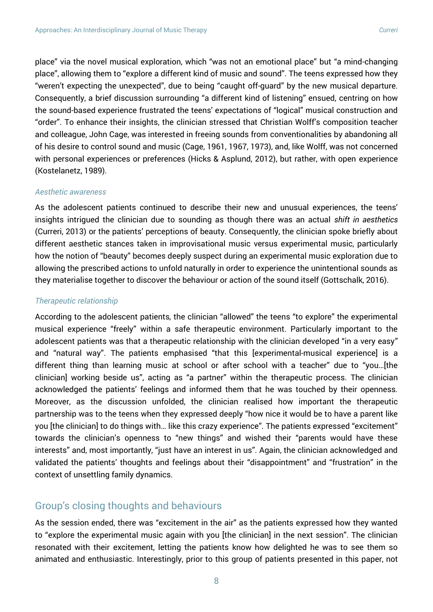place" via the novel musical exploration, which "was not an emotional place" but "a mind-changing place", allowing them to "explore a different kind of music and sound". The teens expressed how they "weren't expecting the unexpected", due to being "caught off-guard" by the new musical departure. Consequently, a brief discussion surrounding "a different kind of listening" ensued, centring on how the sound-based experience frustrated the teens' expectations of "logical" musical construction and "order". To enhance their insights, the clinician stressed that Christian Wolff's composition teacher and colleague, John Cage, was interested in freeing sounds from conventionalities by abandoning all of his desire to control sound and music (Cage, 1961, 1967, 1973), and, like Wolff, was not concerned with personal experiences or preferences (Hicks & Asplund, 2012), but rather, with open experience (Kostelanetz, 1989).

#### *Aesthetic awareness*

As the adolescent patients continued to describe their new and unusual experiences, the teens' insights intrigued the clinician due to sounding as though there was an actual *shift in aesthetics* (Curreri, 2013) or the patients' perceptions of beauty. Consequently, the clinician spoke briefly about different aesthetic stances taken in improvisational music versus experimental music, particularly how the notion of "beauty" becomes deeply suspect during an experimental music exploration due to allowing the prescribed actions to unfold naturally in order to experience the unintentional sounds as they materialise together to discover the behaviour or action of the sound itself (Gottschalk, 2016).

#### *Therapeutic relationship*

According to the adolescent patients*,* the clinician "allowed" the teens "to explore" the experimental musical experience "freely" within a safe therapeutic environment. Particularly important to the adolescent patients was that a therapeutic relationship with the clinician developed "in a very easy" and "natural way". The patients emphasised "that this [experimental-musical experience] is a different thing than learning music at school or after school with a teacher" due to "you…[the clinician] working beside us", acting as "a partner" within the therapeutic process. The clinician acknowledged the patients' feelings and informed them that he was touched by their openness. Moreover, as the discussion unfolded, the clinician realised how important the therapeutic partnership was to the teens when they expressed deeply "how nice it would be to have a parent like you [the clinician] to do things with… like this crazy experience". The patients expressed "excitement" towards the clinician's openness to "new things" and wished their "parents would have these interests" and, most importantly, "just have an interest in us". Again, the clinician acknowledged and validated the patients' thoughts and feelings about their "disappointment" and "frustration" in the context of unsettling family dynamics.

## Group's closing thoughts and behaviours

As the session ended, there was "excitement in the air" as the patients expressed how they wanted to "explore the experimental music again with you [the clinician] in the next session". The clinician resonated with their excitement, letting the patients know how delighted he was to see them so animated and enthusiastic. Interestingly, prior to this group of patients presented in this paper, not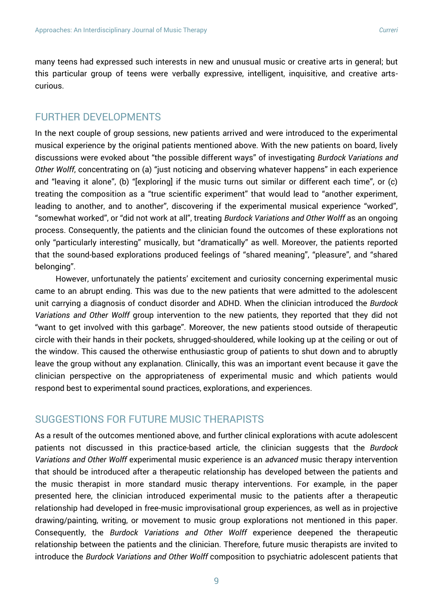many teens had expressed such interests in new and unusual music or creative arts in general; but this particular group of teens were verbally expressive, intelligent, inquisitive, and creative artscurious.

## FURTHER DEVELOPMENTS

In the next couple of group sessions, new patients arrived and were introduced to the experimental musical experience by the original patients mentioned above. With the new patients on board, lively discussions were evoked about "the possible different ways" of investigating *Burdock Variations and Other Wolff*, concentrating on (a) "just noticing and observing whatever happens" in each experience and "leaving it alone", (b) "[exploring] if the music turns out similar or different each time", or (c) treating the composition as a "true scientific experiment" that would lead to "another experiment, leading to another, and to another", discovering if the experimental musical experience "worked", "somewhat worked", or "did not work at all", treating *Burdock Variations and Other Wolff* as an ongoing process. Consequently, the patients and the clinician found the outcomes of these explorations not only "particularly interesting" musically, but "dramatically" as well. Moreover, the patients reported that the sound-based explorations produced feelings of "shared meaning", "pleasure", and "shared belonging".

However, unfortunately the patients' excitement and curiosity concerning experimental music came to an abrupt ending. This was due to the new patients that were admitted to the adolescent unit carrying a diagnosis of conduct disorder and ADHD. When the clinician introduced the *Burdock Variations and Other Wolff* group intervention to the new patients, they reported that they did not "want to get involved with this garbage". Moreover, the new patients stood outside of therapeutic circle with their hands in their pockets, shrugged-shouldered, while looking up at the ceiling or out of the window. This caused the otherwise enthusiastic group of patients to shut down and to abruptly leave the group without any explanation. Clinically, this was an important event because it gave the clinician perspective on the appropriateness of experimental music and which patients would respond best to experimental sound practices, explorations, and experiences.

## SUGGESTIONS FOR FUTURE MUSIC THERAPISTS

As a result of the outcomes mentioned above, and further clinical explorations with acute adolescent patients not discussed in this practice-based article, the clinician suggests that the *Burdock Variations and Other Wolff* experimental music experience is an *advanced* music therapy intervention that should be introduced after a therapeutic relationship has developed between the patients and the music therapist in more standard music therapy interventions. For example, in the paper presented here, the clinician introduced experimental music to the patients after a therapeutic relationship had developed in free-music improvisational group experiences, as well as in projective drawing/painting, writing, or movement to music group explorations not mentioned in this paper. Consequently, the *Burdock Variations and Other Wolff* experience deepened the therapeutic relationship between the patients and the clinician. Therefore, future music therapists are invited to introduce the *Burdock Variations and Other Wolff* composition to psychiatric adolescent patients that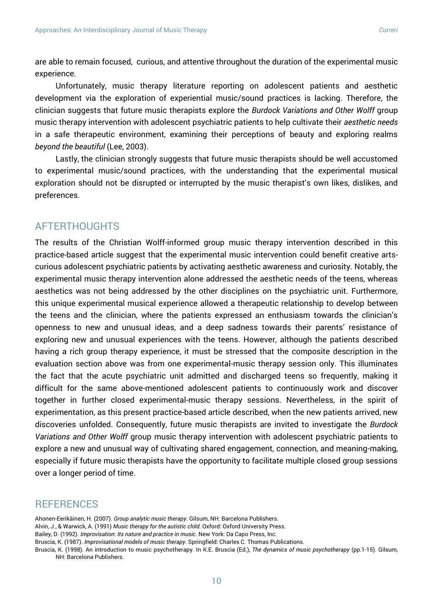are able to remain focused, curious, and attentive throughout the duration of the experimental music experience.

Unfortunately, music therapy literature reporting on adolescent patients and aesthetic development via the exploration of experiential music/sound practices is lacking. Therefore, the clinician suggests that future music therapists explore the *Burdock Variations and Other Wolff* group music therapy intervention with adolescent psychiatric patients to help cultivate their *aesthetic needs* in a safe therapeutic environment, examining their perceptions of beauty and exploring realms *beyond the beautiful* (Lee, 2003).

Lastly, the clinician strongly suggests that future music therapists should be well accustomed to experimental music/sound practices, with the understanding that the experimental musical exploration should not be disrupted or interrupted by the music therapist's own likes, dislikes, and preferences.

## AFTERTHOUGHTS

The results of the Christian Wolff-informed group music therapy intervention described in this practice-based article suggest that the experimental music intervention could benefit creative artscurious adolescent psychiatric patients by activating aesthetic awareness and curiosity. Notably, the experimental music therapy intervention alone addressed the aesthetic needs of the teens, whereas aesthetics was not being addressed by the other disciplines on the psychiatric unit. Furthermore, this unique experimental musical experience allowed a therapeutic relationship to develop between the teens and the clinician, where the patients expressed an enthusiasm towards the clinician's openness to new and unusual ideas, and a deep sadness towards their parents' resistance of exploring new and unusual experiences with the teens. However, although the patients described having a rich group therapy experience, it must be stressed that the composite description in the evaluation section above was from one experimental-music therapy session only. This illuminates the fact that the acute psychiatric unit admitted and discharged teens so frequently, making it difficult for the same above-mentioned adolescent patients to continuously work and discover together in further closed experimental-music therapy sessions. Nevertheless, in the spirit of experimentation, as this present practice-based article described, when the new patients arrived, new discoveries unfolded. Consequently, future music therapists are invited to investigate the *Burdock Variations and Other Wolff* group music therapy intervention with adolescent psychiatric patients to explore a new and unusual way of cultivating shared engagement, connection, and meaning-making, especially if future music therapists have the opportunity to facilitate multiple closed group sessions over a longer period of time.

## **REFERENCES**

Ahonen-Eerikäinen, H. (2007). *Group analytic music therapy*. Gilsum, NH: Barcelona Publishers. Alvin, J., & Warwick, A. (1991) *Music therapy for the autistic child*. Oxford: Oxford University Press. Bailey, D. (1992). *Improvisation: Its nature and practice in music*. New York: Da Capo Press, Inc.

Bruscia, K. (1998). An introduction to music psychotherapy. In K.E. Bruscia (Ed.), *The dynamics of music psychotherapy* (pp.1-15). Gilsum, NH: Barcelona Publishers.

Bruscia, K. (1987). *Improvisational models of music therapy*. Springfield: Charles C. Thomas Publications.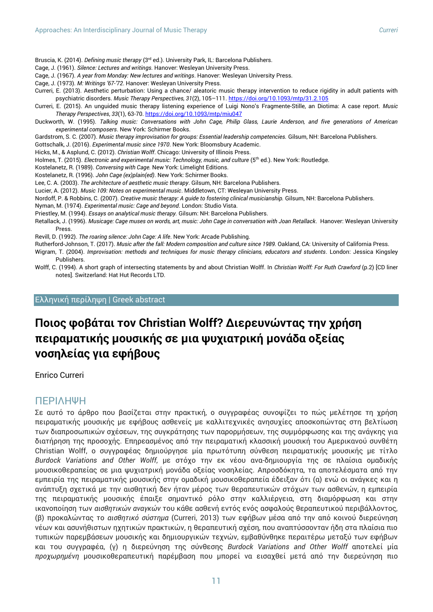Bruscia, K. (2014). *Defining music therapy* (3rd ed.). University Park, IL: Barcelona Publishers.

- Cage, J. (1961). *Silence: Lectures and writings.* Hanover: Wesleyan University Press.
- Cage, J. (1967). *A year from Monday: New lectures and writings*. Hanover: Wesleyan University Press.
- Cage, J. (1973). *M: Writings '67-'72*. Hanover: Wesleyan University Press.
- Curreri, E. (2013). Aesthetic perturbation: Using a chance/ aleatoric music therapy intervention to reduce rigidity in adult patients with psychiatric disorders. *Music Therapy Perspectives, 31*(2), 105–111[. https://doi.org/10.1093/mtp/31.2.105](https://doi.org/10.1093/mtp/31.2.105)
- Curreri, E. (2015). An unguided music therapy listening experience of Luigi Nono's Fragmente-Stille, an Diotima: A case report. *Music Therapy Perspectives*, *33*(1), 63-70.<https://doi.org/10.1093/mtp/miu047>

Duckworth, W. (1995). *Talking music: Conversations with John Cage, Philip Glass, Laurie Anderson, and five generations of American experimental composers*. New York: Schirmer Books.

Gardstrom, S. C. (2007). *Music therapy improvisation for groups: Essential leadership competencies.* Gilsum, NH: Barcelona Publishers.

Gottschalk, J. (2016). *Experimental music since 1970*. New York: Bloomsbury Academic.

- Hicks, M., & Asplund, C. (2012). *Christian Wolff*. Chicago: University of Illinois Press.
- Holmes, T. (2015). *Electronic and experimental music: Technology, music, and culture* (5<sup>th</sup> ed.). New York: Routledge.
- Kostelanetz, R. (1989). *Conversing with Cage.* New York: Limelight Editions.
- Kostelanetz, R. (1996). *John Cage (ex)plain(ed)*. New York: Schirmer Books.

Lee, C. A. (2003). *The architecture of aesthetic music therapy*. Gilsum, NH: Barcelona Publishers.

Lucier, A. (2012). *Music 109: Notes on experimental music*. Middletown, CT: Wesleyan University Press.

Nordoff, P. & Robbins, C. (2007). *Creative music therapy: A guide to fostering clinical musicianship.* Gilsum, NH: Barcelona Publishers.

Nyman, M. (1974). *Experimental music: Cage and beyond*. London: Studio Vista.

Priestley, M. (1994). *Essays on analytical music therapy.* Gilsum: NH: Barcelona Publishers.

Retallack, J. (1996). *Musicage: Cage muses on words, art, music: John Cage in conversation with Joan Retallack*. Hanover: Wesleyan University Press.

Revill, D. (1992). *The roaring silence: John Cage: A life*. New York: Arcade Publishing.

- Rutherford-Johnson, T. (2017). *Music after the fall: Modern composition and culture since 1989.* Oakland, CA: University of California Press. Wigram, T. (2004). *Improvisation: methods and techniques for music therapy clinicians, educators and students*. London: Jessica Kingsley
- Publishers. Wolff, C. (1994). A short graph of intersecting statements by and about Christian Wolff. In *Christian Wolff: For Ruth Crawford* (p.2) [CD liner notes]. Switzerland: Hat Hut Records LTD.

#### Ελληνική περίληψη | Greek abstract

## **Ποιος φοβάται τον Christian Wolff? Διερευνώντας την χρήση πειραματικής μουσικής σε μια ψυχιατρική μονάδα οξείας νοσηλείας για εφήβους**

Enrico Curreri

## ΠΕΡΙΛΗΨΗ

Σε αυτό το άρθρο που βασίζεται στην πρακτική, ο συγγραφέας συνοψίζει το πώς μελέτησε τη χρήση πειραματικής μουσικής με εφήβους ασθενείς με καλλιτεχνικές ανησυχίες αποσκοπώντας στη βελτίωση των διαπροσωπικών σχέσεων, της συγκράτησης των παρορμήσεων, της συμμόρφωσης και της ανάγκης για διατήρηση της προσοχής. Επηρεασμένος από την πειραματική κλασσική μουσική του Αμερικανού συνθέτη Christian Wolff, ο συγγραφέας δημιούργησε μία πρωτότυπη σύνθεση πειραματικής μουσικής με τίτλο *Burdock Variations and Other Wolff*, με στόχο την εκ νέου ανα-δημιουργία της σε πλαίσια ομαδικής μουσικοθεραπείας σε μια ψυχιατρική μονάδα οξείας νοσηλείας. Απροσδόκητα, τα αποτελέσματα από την εμπειρία της πειραματικής μουσικής στην ομαδική μουσικοθεραπεία έδειξαν ότι (α) ενώ οι ανάγκες και η ανάπτυξη σχετικά με την αισθητική δεν ήταν μέρος των θεραπευτικών στόχων των ασθενών, η εμπειρία της πειραματικής μουσικής έπαιξε σημαντικό ρόλο στην καλλιέργεια, στη διαμόρφωση και στην ικανοποίηση των *αισθητικών αναγκών* του κάθε ασθενή εντός ενός ασφαλούς θεραπευτικού περιβάλλοντος, (β) προκαλώντας το *αισθητικό σύστημα* (Curreri, 2013) των εφήβων μέσα από την από κοινού διερεύνηση νέων και ασυνήθιστων ηχητικών πρακτικών, η θεραπευτική σχέση, που αναπτύσσονταν ήδη στα πλαίσια πιο τυπικών παρεμβάσεων μουσικής και δημιουργικών τεχνών, εμβαθύνθηκε περαιτέρω μεταξύ των εφήβων και του συγγραφέα, (γ) η διερεύνηση της σύνθεσης *Burdock Variations and Other Wolff* αποτελεί μία *προχωρημένη* μουσικοθεραπευτική παρέμβαση που μπορεί να εισαχθεί μετά από την διερεύνηση πιο